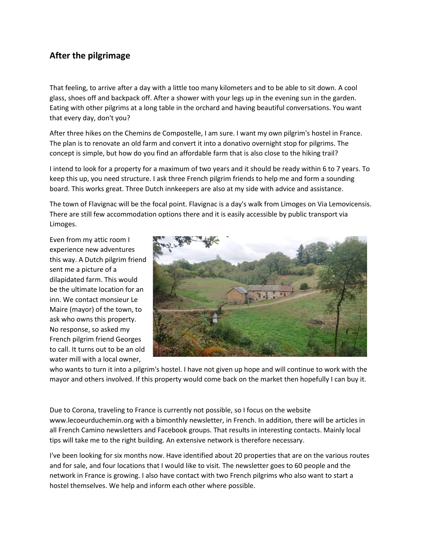## **After the pilgrimage**

That feeling, to arrive after a day with a little too many kilometers and to be able to sit down. A cool glass, shoes off and backpack off. After a shower with your legs up in the evening sun in the garden. Eating with other pilgrims at a long table in the orchard and having beautiful conversations. You want that every day, don't you?

After three hikes on the Chemins de Compostelle, I am sure. I want my own pilgrim's hostel in France. The plan is to renovate an old farm and convert it into a donativo overnight stop for pilgrims. The concept is simple, but how do you find an affordable farm that is also close to the hiking trail?

I intend to look for a property for a maximum of two years and it should be ready within 6 to 7 years. To keep this up, you need structure. I ask three French pilgrim friends to help me and form a sounding board. This works great. Three Dutch innkeepers are also at my side with advice and assistance.

The town of Flavignac will be the focal point. Flavignac is a day's walk from Limoges on Via Lemovicensis. There are still few accommodation options there and it is easily accessible by public transport via Limoges.

Even from my attic room I experience new adventures this way. A Dutch pilgrim friend sent me a picture of a dilapidated farm. This would be the ultimate location for an inn. We contact monsieur Le Maire (mayor) of the town, to ask who owns this property. No response, so asked my French pilgrim friend Georges to call. It turns out to be an old water mill with a local owner,



who wants to turn it into a pilgrim's hostel. I have not given up hope and will continue to work with the mayor and others involved. If this property would come back on the market then hopefully I can buy it.

Due to Corona, traveling to France is currently not possible, so I focus on the website www.lecoeurduchemin.org with a bimonthly newsletter, in French. In addition, there will be articles in all French Camino newsletters and Facebook groups. That results in interesting contacts. Mainly local tips will take me to the right building. An extensive network is therefore necessary.

I've been looking for six months now. Have identified about 20 properties that are on the various routes and for sale, and four locations that I would like to visit. The newsletter goes to 60 people and the network in France is growing. I also have contact with two French pilgrims who also want to start a hostel themselves. We help and inform each other where possible.